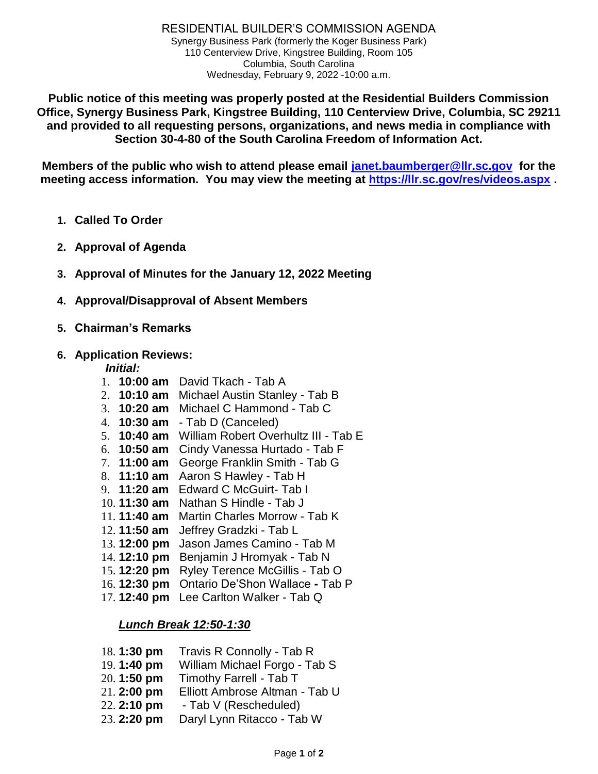**Public notice of this meeting was properly posted at the Residential Builders Commission Office, Synergy Business Park, Kingstree Building, 110 Centerview Drive, Columbia, SC 29211 and provided to all requesting persons, organizations, and news media in compliance with Section 30-4-80 of the South Carolina Freedom of Information Act.**

**Members of the public who wish to attend please email [janet.baumberger@llr.sc.gov](mailto:janet.baumberger@llr.sc.gov) for the meeting access information. You may view the meeting at <https://llr.sc.gov/res/videos.aspx> .**

- **1. Called To Order**
- **2. Approval of Agenda**
- **3. Approval of Minutes for the January 12, 2022 Meeting**
- **4. Approval/Disapproval of Absent Members**
- **5. Chairman's Remarks**
- **6. Application Reviews:**

#### *Initial:*

- 1. **10:00 am** David Tkach Tab A
- 2. **10:10 am** Michael Austin Stanley Tab B
- 3. **10:20 am** Michael C Hammond Tab C
- 4. **10:30 am** Tab D (Canceled)
- 5. **10:40 am** William Robert Overhultz III Tab E
- 6. **10:50 am** Cindy Vanessa Hurtado Tab F
- 7. **11:00 am** George Franklin Smith Tab G
- 8. **11:10 am** Aaron S Hawley Tab H
- 9. **11:20 am** Edward C McGuirt- Tab I
- 10. **11:30 am** Nathan S Hindle Tab J
- 11. **11:40 am** Martin Charles Morrow Tab K
- 12. **11:50 am** Jeffrey Gradzki Tab L
- 13. **12:00 pm** Jason James Camino Tab M
- 14. **12:10 pm** Benjamin J Hromyak Tab N
- 15. **12:20 pm** Ryley Terence McGillis Tab O
- 16. **12:30 pm** Ontario De'Shon Wallace **-** Tab P
- 17. **12:40 pm** Lee Carlton Walker Tab Q

# *Lunch Break 12:50-1:30*

| 18.1:30 pm  | Travis R Connolly - Tab R      |
|-------------|--------------------------------|
| 19.1:40 pm  | William Michael Forgo - Tab S  |
| 20.1:50 pm  | Timothy Farrell - Tab T        |
| 21.2:00 pm  | Elliott Ambrose Altman - Tab U |
| 22. 2:10 pm | - Tab V (Rescheduled)          |
| 23. 2:20 pm | Daryl Lynn Ritacco - Tab W     |